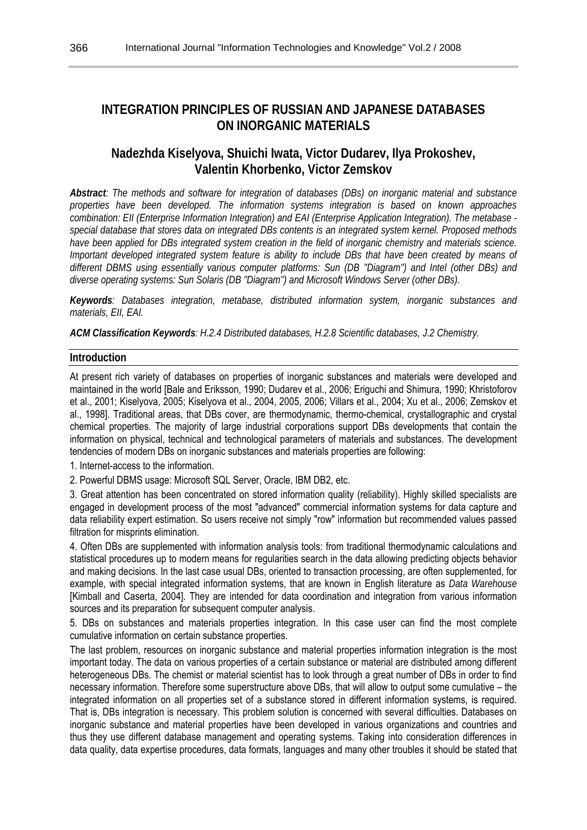# **INTEGRATION PRINCIPLES OF RUSSIAN AND JAPANESE DATABASES ON INORGANIC MATERIALS**

# **Nadezhda Kiselyova, Shuichi Iwata, Victor Dudarev, Ilya Prokoshev, Valentin Khorbenko, Victor Zemskov**

*Abstract: The methods and software for integration of databases (DBs) on inorganic material and substance properties have been developed. The information systems integration is based on known approaches combination: EII (Enterprise Information Integration) and EAI (Enterprise Application Integration). The metabase special database that stores data on integrated DBs contents is an integrated system kernel. Proposed methods have been applied for DBs integrated system creation in the field of inorganic chemistry and materials science. Important developed integrated system feature is ability to include DBs that have been created by means of different DBMS using essentially various computer platforms: Sun (DB "Diagram") and Intel (other DBs) and diverse operating systems: Sun Solaris (DB "Diagram") and Microsoft Windows Server (other DBs).* 

*Keywords: Databases integration, metabase, distributed information system, inorganic substances and materials, EII, EAI.* 

*ACM Classification Keywords: H.2.4 Distributed databases, H.2.8 Scientific databases, J.2 Chemistry.* 

#### **Introduction**

At present rich variety of databases on properties of inorganic substances and materials were developed and maintained in the world [Bale and Eriksson, 1990; Dudarev et al., 2006; Eriguchi and Shimura, 1990; Khristoforov et al., 2001; Kiselyova, 2005; Kiselyova et al., 2004, 2005, 2006; Villars et al., 2004; Xu et al., 2006; Zemskov et al., 1998]. Traditional areas, that DBs cover, are thermodynamic, thermo-chemical, crystallographic and crystal chemical properties. The majority of large industrial corporations support DBs developments that contain the information on physical, technical and technological parameters of materials and substances. The development tendencies of modern DBs on inorganic substances and materials properties are following:

1. Internet-access to the information.

2. Powerful DBMS usage: Microsoft SQL Server, Oracle, IBM DB2, etc.

3. Great attention has been concentrated on stored information quality (reliability). Highly skilled specialists are engaged in development process of the most "advanced" commercial information systems for data capture and data reliability expert estimation. So users receive not simply "row" information but recommended values passed filtration for misprints elimination.

4. Often DBs are supplemented with information analysis tools: from traditional thermodynamic calculations and statistical procedures up to modern means for regularities search in the data allowing predicting objects behavior and making decisions. In the last case usual DBs, oriented to transaction processing, are often supplemented, for example, with special integrated information systems, that are known in English literature as *Data Warehouse*  [Kimball and Caserta, 2004]. They are intended for data coordination and integration from various information sources and its preparation for subsequent computer analysis.

5. DBs on substances and materials properties integration. In this case user can find the most complete cumulative information on certain substance properties.

The last problem, resources on inorganic substance and material properties information integration is the most important today. The data on various properties of a certain substance or material are distributed among different heterogeneous DBs. The chemist or material scientist has to look through a great number of DBs in order to find necessary information. Therefore some superstructure above DBs, that will allow to output some cumulative – the integrated information on all properties set of a substance stored in different information systems, is required. That is, DBs integration is necessary. This problem solution is concerned with several difficulties. Databases on inorganic substance and material properties have been developed in various organizations and countries and thus they use different database management and operating systems. Taking into consideration differences in data quality, data expertise procedures, data formats, languages and many other troubles it should be stated that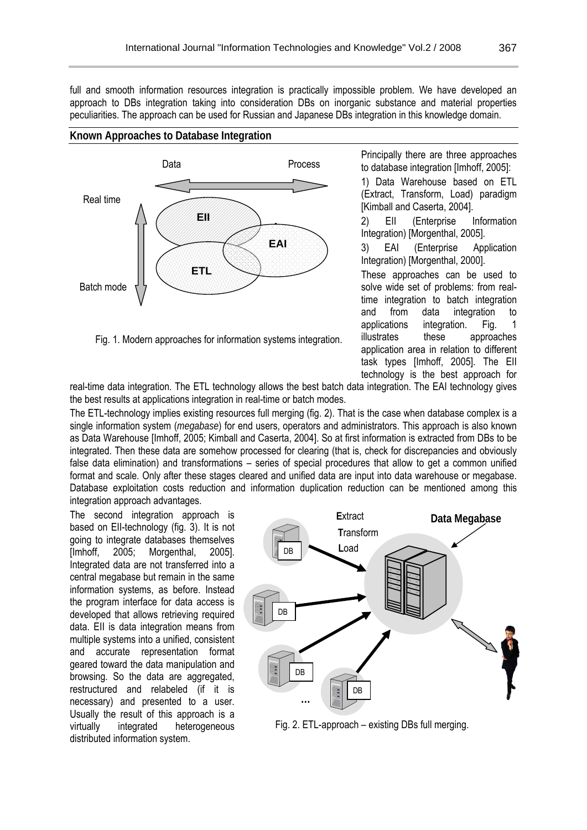full and smooth information resources integration is practically impossible problem. We have developed an approach to DBs integration taking into consideration DBs on inorganic substance and material properties peculiarities. The approach can be used for Russian and Japanese DBs integration in this knowledge domain.

#### **Known Approaches to Database Integration**



Fig. 1. Modern approaches for information systems integration.

Principally there are three approaches to database integration [Imhoff, 2005]:

1) Data Warehouse based on ETL (Extract, Transform, Load) paradigm [Kimball and Caserta, 2004].

2) EII (Enterprise Information Integration) [Morgenthal, 2005].

3) EAI (Enterprise Application Integration) [Morgenthal, 2000].

These approaches can be used to solve wide set of problems: from realtime integration to batch integration and from data integration to applications integration. Fig. 1 illustrates these approaches application area in relation to different task types [Imhoff, 2005]. The EII technology is the best approach for

real-time data integration. The ETL technology allows the best batch data integration. The EAI technology gives the best results at applications integration in real-time or batch modes.

The ETL-technology implies existing resources full merging (fig. 2). That is the case when database complex is a single information system (*megabase*) for end users, operators and administrators. This approach is also known as Data Warehouse [Imhoff, 2005; Kimball and Caserta, 2004]. So at first information is extracted from DBs to be integrated. Then these data are somehow processed for clearing (that is, check for discrepancies and obviously false data elimination) and transformations – series of special procedures that allow to get a common unified format and scale. Only after these stages cleared and unified data are input into data warehouse or megabase. Database exploitation costs reduction and information duplication reduction can be mentioned among this integration approach advantages.

The second integration approach is based on EII-technology (fig. 3). It is not going to integrate databases themselves [Imhoff, 2005; Morgenthal, 2005]. Integrated data are not transferred into a central megabase but remain in the same information systems, as before. Instead the program interface for data access is developed that allows retrieving required data. EII is data integration means from multiple systems into a unified, consistent and accurate representation format geared toward the data manipulation and browsing. So the data are aggregated, restructured and relabeled (if it is necessary) and presented to a user. Usually the result of this approach is a virtually integrated heterogeneous distributed information system.



Fig. 2. ETL-approach – existing DBs full merging.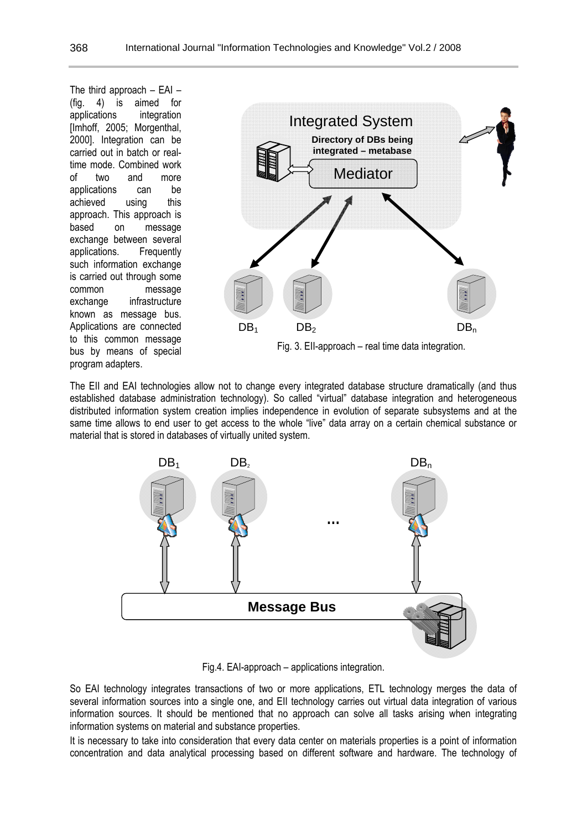The third approach – EAI – (fig. 4) is aimed for applications integration [Imhoff, 2005; Morgenthal, 2000]. Integration can be carried out in batch or realtime mode. Combined work of two and more applications can be achieved using this approach. This approach is based on message exchange between several applications. Frequently such information exchange is carried out through some common message exchange infrastructure known as message bus. Applications are connected to this common message bus by means of special program adapters.



The EII and EAI technologies allow not to change every integrated database structure dramatically (and thus established database administration technology). So called "virtual" database integration and heterogeneous distributed information system creation implies independence in evolution of separate subsystems and at the same time allows to end user to get access to the whole "live" data array on a certain chemical substance or material that is stored in databases of virtually united system.



Fig.4. EAI-approach – applications integration.

So EAI technology integrates transactions of two or more applications, ETL technology merges the data of several information sources into a single one, and EII technology carries out virtual data integration of various information sources. It should be mentioned that no approach can solve all tasks arising when integrating information systems on material and substance properties.

It is necessary to take into consideration that every data center on materials properties is a point of information concentration and data analytical processing based on different software and hardware. The technology of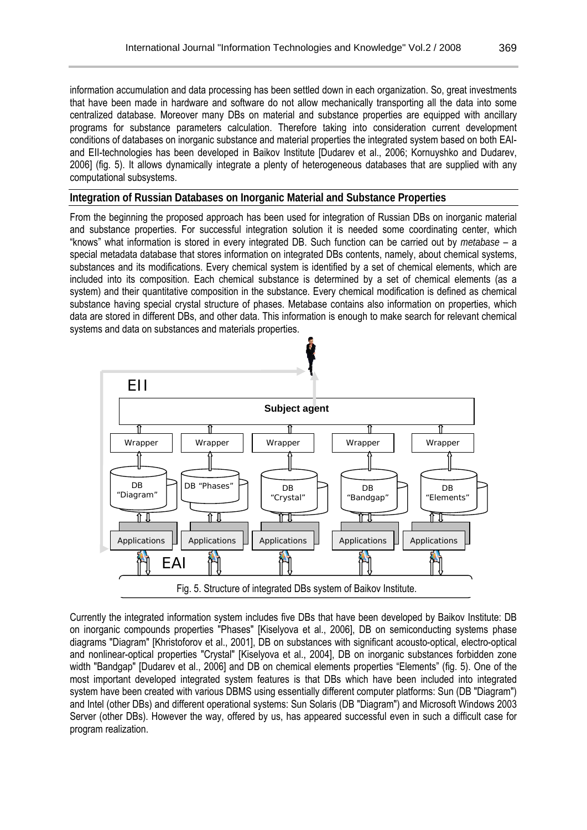information accumulation and data processing has been settled down in each organization. So, great investments that have been made in hardware and software do not allow mechanically transporting all the data into some centralized database. Moreover many DBs on material and substance properties are equipped with ancillary programs for substance parameters calculation. Therefore taking into consideration current development conditions of databases on inorganic substance and material properties the integrated system based on both EAIand EII-technologies has been developed in Baikov Institute [Dudarev et al., 2006; Kornuyshko and Dudarev, 2006] (fig. 5). It allows dynamically integrate a plenty of heterogeneous databases that are supplied with any computational subsystems.

### **Integration of Russian Databases on Inorganic Material and Substance Properties**

From the beginning the proposed approach has been used for integration of Russian DBs on inorganic material and substance properties. For successful integration solution it is needed some coordinating center, which "knows" what information is stored in every integrated DB. Such function can be carried out by *metabase* – a special metadata database that stores information on integrated DBs contents, namely, about chemical systems, substances and its modifications. Every chemical system is identified by a set of chemical elements, which are included into its composition. Each chemical substance is determined by a set of chemical elements (as a system) and their quantitative composition in the substance. Every chemical modification is defined as chemical substance having special crystal structure of phases. Metabase contains also information on properties, which data are stored in different DBs, and other data. This information is enough to make search for relevant chemical systems and data on substances and materials properties.



Currently the integrated information system includes five DBs that have been developed by Baikov Institute: DB on inorganic compounds properties "Phases" [Kiselyova et al., 2006], DB on semiconducting systems phase diagrams "Diagram" [Khristoforov et al., 2001], DB on substances with significant acousto-optical, electro-optical and nonlinear-optical properties "Crystal" [Kiselyova et al., 2004], DB on inorganic substances forbidden zone width "Bandgap" [Dudarev et al., 2006] and DB on chemical elements properties "Elements" (fig. 5). One of the most important developed integrated system features is that DBs which have been included into integrated system have been created with various DBMS using essentially different computer platforms: Sun (DB "Diagram") and Intel (other DBs) and different operational systems: Sun Solaris (DB "Diagram") and Microsoft Windows 2003 Server (other DBs). However the way, offered by us, has appeared successful even in such a difficult case for program realization.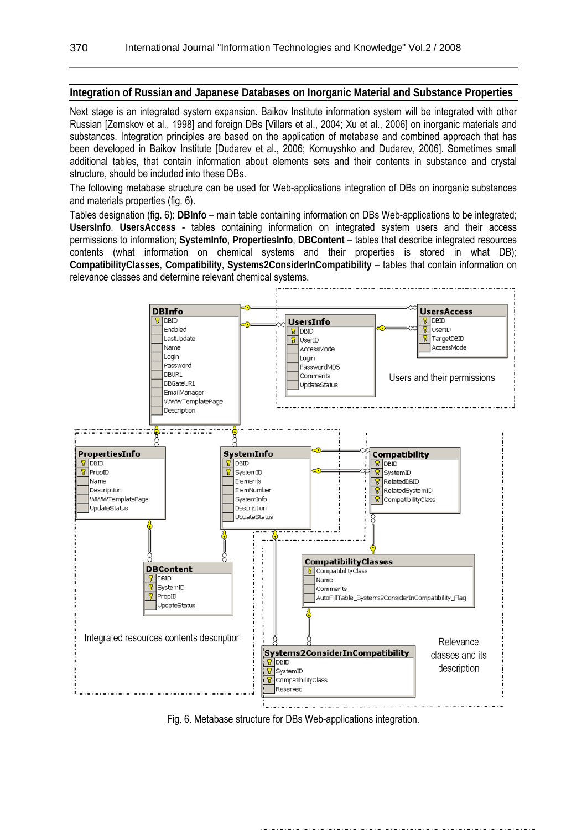#### **Integration of Russian and Japanese Databases on Inorganic Material and Substance Properties**

Next stage is an integrated system expansion. Baikov Institute information system will be integrated with other Russian [Zemskov et al., 1998] and foreign DBs [Villars et al., 2004; Xu et al., 2006] on inorganic materials and substances. Integration principles are based on the application of metabase and combined approach that has been developed in Baikov Institute [Dudarev et al., 2006; Kornuyshko and Dudarev, 2006]. Sometimes small additional tables, that contain information about elements sets and their contents in substance and crystal structure, should be included into these DBs.

The following metabase structure can be used for Web-applications integration of DBs on inorganic substances and materials properties (fig. 6).

Tables designation (fig. 6): **DBInfo** – main table containing information on DBs Web-applications to be integrated; **UsersInfo**, **UsersAccess** - tables containing information on integrated system users and their access permissions to information; **SystemInfo**, **PropertiesInfo**, **DBContent** – tables that describe integrated resources contents (what information on chemical systems and their properties is stored in what DB); **CompatibilityClasses**, **Compatibility**, **Systems2ConsiderInCompatibility** – tables that contain information on relevance classes and determine relevant chemical systems.



Fig. 6. Metabase structure for DBs Web-applications integration.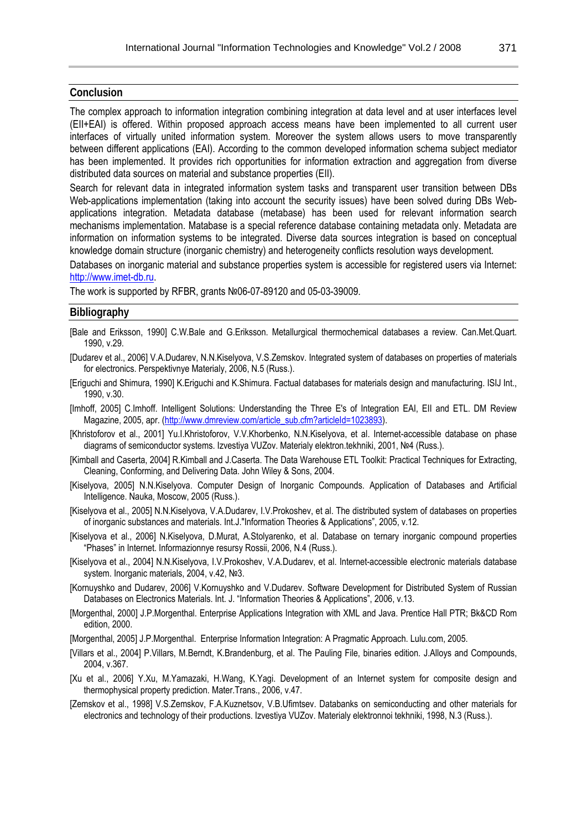#### **Conclusion**

The complex approach to information integration combining integration at data level and at user interfaces level (EII+EAI) is offered. Within proposed approach access means have been implemented to all current user interfaces of virtually united information system. Moreover the system allows users to move transparently between different applications (EAI). According to the common developed information schema subject mediator has been implemented. It provides rich opportunities for information extraction and aggregation from diverse distributed data sources on material and substance properties (EII).

Search for relevant data in integrated information system tasks and transparent user transition between DBs Web-applications implementation (taking into account the security issues) have been solved during DBs Webapplications integration. Metadata database (metabase) has been used for relevant information search mechanisms implementation. Matabase is a special reference database containing metadata only. Metadata are information on information systems to be integrated. Diverse data sources integration is based on conceptual knowledge domain structure (inorganic chemistry) and heterogeneity conflicts resolution ways development.

Databases on inorganic material and substance properties system is accessible for registered users via Internet: http://www.imet-db.ru.

The work is supported by RFBR, grants №06-07-89120 and 05-03-39009.

#### **Bibliography**

- [Bale and Eriksson, 1990] C.W.Bale and G.Eriksson. Metallurgical thermochemical databases a review. Can.Met.Quart. 1990, v.29.
- [Dudarev et al., 2006] V.A.Dudarev, N.N.Kiselyova, V.S.Zemskov. Integrated system of databases on properties of materials for electronics. Perspektivnye Materialy, 2006, N.5 (Russ.).
- [Eriguchi and Shimura, 1990] K.Eriguchi and K.Shimura. Factual databases for materials design and manufacturing. ISIJ Int., 1990, v.30.
- [Imhoff, 2005] C.Imhoff. Intelligent Solutions: Understanding the Three E's of Integration EAI, EII and ETL. DM Review Magazine, 2005, apr. (http://www.dmreview.com/article\_sub.cfm?articleId=1023893).
- [Khristoforov et al., 2001] Yu.I.Khristoforov, V.V.Khorbenko, N.N.Kiselyova, et al. Internet-accessible database on phase diagrams of semiconductor systems. Izvestiya VUZov. Materialy elektron.tekhniki, 2001, №4 (Russ.).
- [Kimball and Caserta, 2004] R.Kimball and J.Caserta. The Data Warehouse ETL Toolkit: Practical Techniques for Extracting, Cleaning, Conforming, and Delivering Data. John Wiley & Sons, 2004.
- [Kiselyova, 2005] N.N.Kiselyova. Computer Design of Inorganic Compounds. Application of Databases and Artificial Intelligence. Nauka, Moscow, 2005 (Russ.).
- [Kiselyova et al., 2005] N.N.Kiselyova, V.A.Dudarev, I.V.Prokoshev, et al. The distributed system of databases on properties of inorganic substances and materials. Int.J."Information Theories & Applications", 2005, v.12.
- [Kiselyova et al., 2006] N.Kiselyova, D.Murat, A.Stolyarenko, et al. Database on ternary inorganic compound properties "Phases" in Internet. Informazionnye resursy Rossii, 2006, N.4 (Russ.).
- [Kiselyova et al., 2004] N.N.Kiselyova, I.V.Prokoshev, V.A.Dudarev, et al. Internet-accessible electronic materials database system. Inorganic materials, 2004, v.42, №3.
- [Kornuyshko and Dudarev, 2006] V.Kornuyshko and V.Dudarev. Software Development for Distributed System of Russian Databases on Electronics Materials. Int. J. "Information Theories & Applications", 2006, v.13.
- [Morgenthal, 2000] J.P.Morgenthal. Enterprise Applications Integration with XML and Java. Prentice Hall PTR; Bk&CD Rom edition, 2000.
- [Morgenthal, 2005] J.P.Morgenthal. Enterprise Information Integration: A Pragmatic Approach. Lulu.com, 2005.
- [Villars et al., 2004] P. Villars, M. Berndt, K. Brandenburg, et al. The Pauling File, binaries edition. J. Alloys and Compounds, 2004, v.367.
- [Xu et al., 2006] Y.Xu, M.Yamazaki, H.Wang, K.Yagi. Development of an Internet system for composite design and thermophysical property prediction. Mater.Trans., 2006, v.47.
- [Zemskov et al., 1998] V.S.Zemskov, F.A.Kuznetsov, V.B.Ufimtsev. Databanks on semiconducting and other materials for electronics and technology of their productions. Izvestiya VUZov. Materialy elektronnoi tekhniki, 1998, N.3 (Russ.).